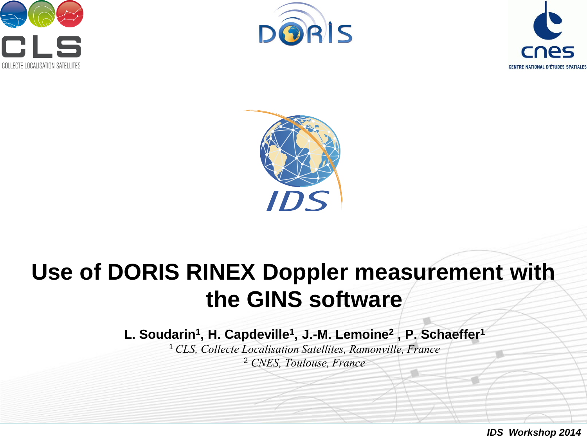







# **Use of DORIS RINEX Doppler measurement with the GINS software**

**L. Soudarin<sup>1</sup> , H. Capdeville<sup>1</sup> , J.-M. Lemoine<sup>2</sup> , P. Schaeffer<sup>1</sup>**

<sup>1</sup>*CLS, Collecte Localisation Satellites, Ramonville, France* <sup>2</sup> *CNES, Toulouse, France*

*IDS Workshop 2014*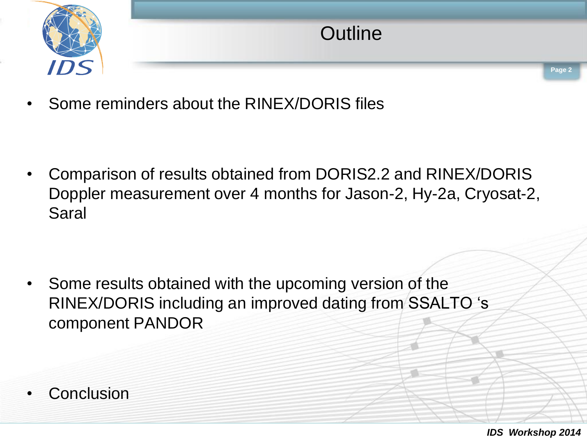

• Some reminders about the RINEX/DORIS files

• Comparison of results obtained from DORIS2.2 and RINEX/DORIS Doppler measurement over 4 months for Jason-2, Hy-2a, Cryosat-2, Saral

• Some results obtained with the upcoming version of the RINEX/DORIS including an improved dating from SSALTO 's component PANDOR

**Conclusion**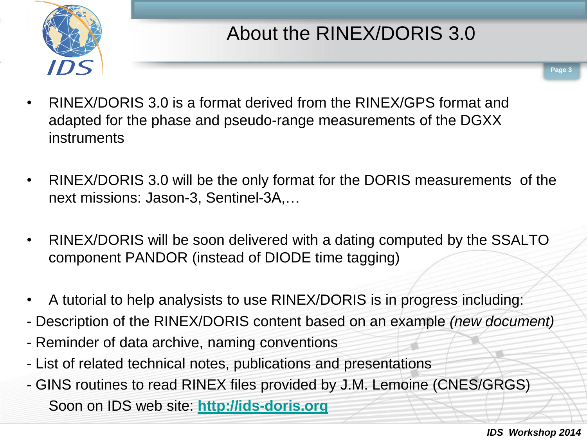

- **Page 3**
- RINEX/DORIS 3.0 is a format derived from the RINEX/GPS format and adapted for the phase and pseudo-range measurements of the DGXX instruments
- RINEX/DORIS 3.0 will be the only format for the DORIS measurements of the next missions: Jason-3, Sentinel-3A,…
- RINEX/DORIS will be soon delivered with a dating computed by the SSALTO component PANDOR (instead of DIODE time tagging)
- A tutorial to help analysists to use RINEX/DORIS is in progress including:
- Description of the RINEX/DORIS content based on an example *(new document)*
- Reminder of data archive, naming conventions
- List of related technical notes, publications and presentations
- GINS routines to read RINEX files provided by J.M. Lemoine (CNES/GRGS) Soon on IDS web site: **[http://ids-doris.org](http://ids-doris.org/)**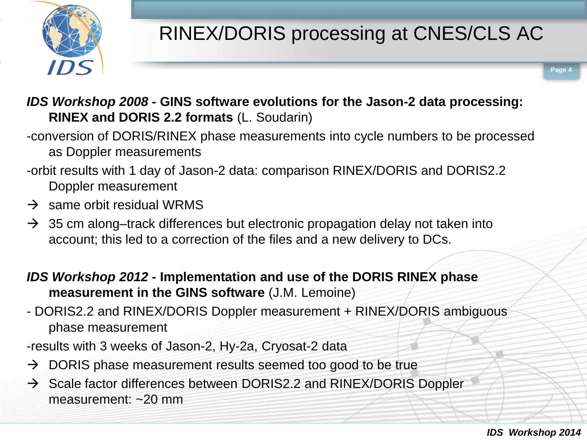

# RINEX/DORIS processing at CNES/CLS AC

**Page 4**

*IDS Workshop 2008 -* **GINS software evolutions for the Jason-2 data processing: RINEX and DORIS 2.2 formats** (L. Soudarin)

-conversion of DORIS/RINEX phase measurements into cycle numbers to be processed as Doppler measurements

- -orbit results with 1 day of Jason-2 data: comparison RINEX/DORIS and DORIS2.2 Doppler measurement
- $\rightarrow$  same orbit residual WRMS
- $\rightarrow$  35 cm along–track differences but electronic propagation delay not taken into account; this led to a correction of the files and a new delivery to DCs.

*IDS Workshop 2012 -* **Implementation and use of the DORIS RINEX phase measurement in the GINS software** (J.M. Lemoine)

- DORIS2.2 and RINEX/DORIS Doppler measurement + RINEX/DORIS ambiguous phase measurement
- -results with 3 weeks of Jason-2, Hy-2a, Cryosat-2 data
- $\rightarrow$  DORIS phase measurement results seemed too good to be true
- $\rightarrow$  Scale factor differences between DORIS2.2 and RINEX/DORIS Doppler measurement: ~20 mm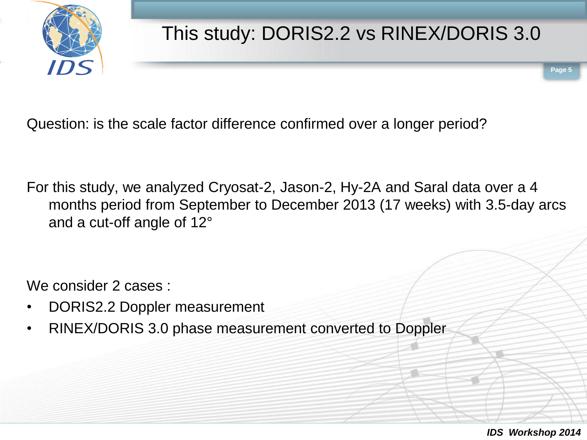

## This study: DORIS2.2 vs RINEX/DORIS 3.0

Question: is the scale factor difference confirmed over a longer period?

For this study, we analyzed Cryosat-2, Jason-2, Hy-2A and Saral data over a 4 months period from September to December 2013 (17 weeks) with 3.5-day arcs and a cut-off angle of 12°

We consider 2 cases :

- DORIS2.2 Doppler measurement
- RINEX/DORIS 3.0 phase measurement converted to Doppler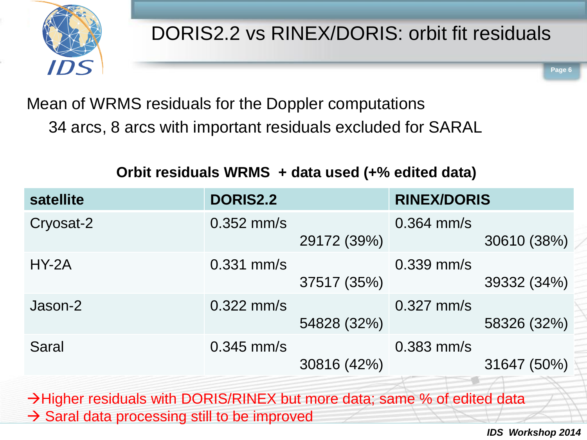

### Mean of WRMS residuals for the Doppler computations 34 arcs, 8 arcs with important residuals excluded for SARAL

#### **Orbit residuals WRMS + data used (+% edited data)**

| <b>satellite</b> | <b>DORIS2.2</b> |             | <b>RINEX/DORIS</b> |             |
|------------------|-----------------|-------------|--------------------|-------------|
| Cryosat-2        | $0.352$ mm/s    | 29172 (39%) | $0.364$ mm/s       | 30610 (38%) |
| $HY-2A$          | $0.331$ mm/s    | 37517 (35%) | $0.339$ mm/s       | 39332 (34%) |
| Jason-2          | $0.322$ mm/s    | 54828 (32%) | $0.327$ mm/s       | 58326 (32%) |
| <b>Saral</b>     | $0.345$ mm/s    | 30816 (42%) | $0.383$ mm/s       | 31647 (50%) |

 $\rightarrow$  Higher residuals with DORIS/RINEX but more data; same % of edited data  $\rightarrow$  Saral data processing still to be improved

*IDS Workshop 2014*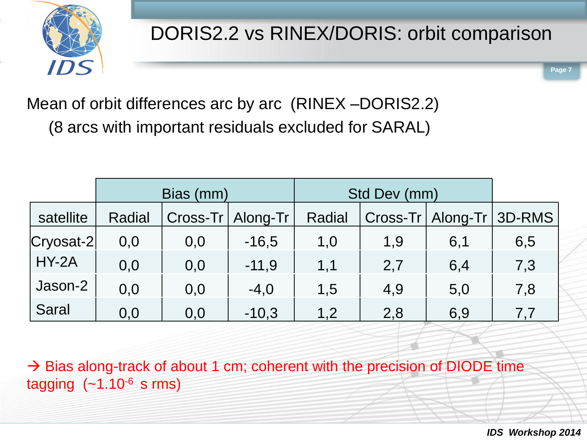

Mean of orbit differences arc by arc (RINEX –DORIS2.2) (8 arcs with important residuals excluded for SARAL)

|               | Bias (mm) |     |                     | Std Dev (mm) |     |                              |     |
|---------------|-----------|-----|---------------------|--------------|-----|------------------------------|-----|
| satellite     | Radial    |     | Cross-Tr   Along-Tr | Radial       |     | Cross-Tr   Along-Tr   3D-RMS |     |
| $ Cryosat-2 $ | 0,0       | 0,0 | $-16,5$             | 1,0          | 1,9 | 6,1                          | 6,5 |
| $HY-2A$       | 0,0       | 0,0 | $-11,9$             | 1,1          | 2,7 | 6,4                          | 7,3 |
| Jason-2       | 0,0       | 0,0 | $-4,0$              | 1,5          | 4,9 | 5,0                          | 7,8 |
| <b>Saral</b>  | 0,0       | 0,0 | $-10,3$             | 1,2          | 2,8 | 6,9                          | 7,7 |

 $\rightarrow$  Bias along-track of about 1 cm; coherent with the precision of DIODE time tagging  $(-1.10<sup>-6</sup>$  s rms)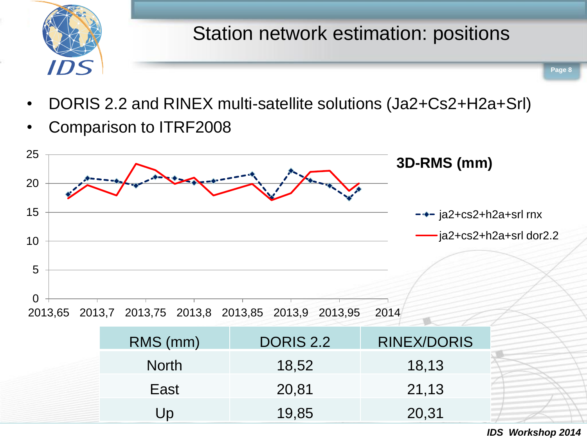

- DORIS 2.2 and RINEX multi-satellite solutions (Ja2+Cs2+H2a+Srl)
- Comparison to ITRF2008

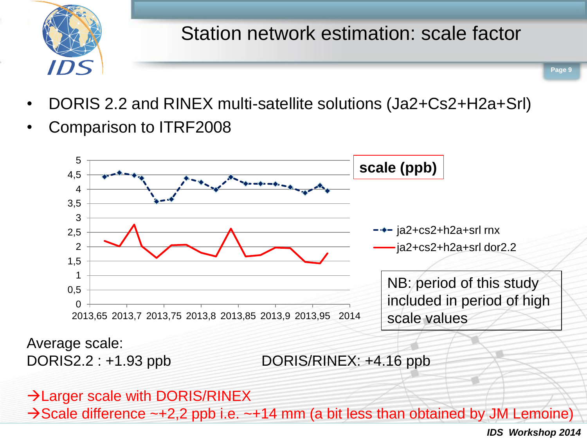

## Station network estimation: scale factor

**Page 9**

- DORIS 2.2 and RINEX multi-satellite solutions (Ja2+Cs2+H2a+Srl)
- Comparison to ITRF2008



DORIS2.2 : +1.93 ppb DORIS/RINEX: +4.16 ppb

#### $\rightarrow$  Larger scale with DORIS/RINEX

 $\rightarrow$  Scale difference  $\sim$  +2,2 ppb i.e.  $\sim$  +14 mm (a bit less than obtained by JM Lemoine)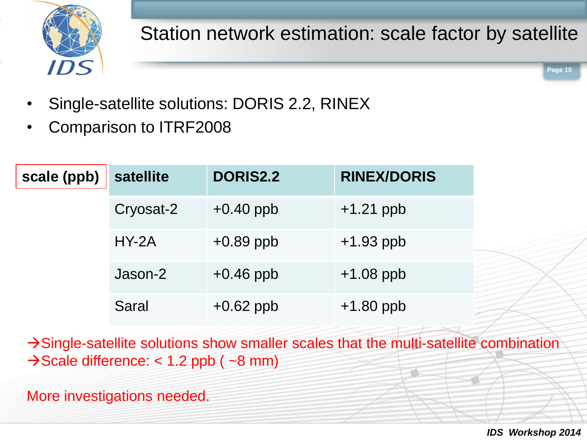

Station network estimation: scale factor by satellite

**Page 10**

- Single-satellite solutions: DORIS 2.2, RINEX
- Comparison to ITRF2008

| scale (ppb) | <b>satellite</b> | <b>DORIS2.2</b> | <b>RINEX/DORIS</b> |
|-------------|------------------|-----------------|--------------------|
|             | Cryosat-2        | $+0.40$ ppb     | $+1.21$ ppb        |
|             | $HY-2A$          | $+0.89$ ppb     | $+1.93$ ppb        |
|             | Jason-2          | $+0.46$ ppb     | $+1.08$ ppb        |
|             | <b>Saral</b>     | $+0.62$ ppb     | $+1.80$ ppb        |

Single-satellite solutions show smaller scales that the multi-satellite combination  $\rightarrow$  Scale difference: < 1.2 ppb ( $\sim$ 8 mm)

More investigations needed.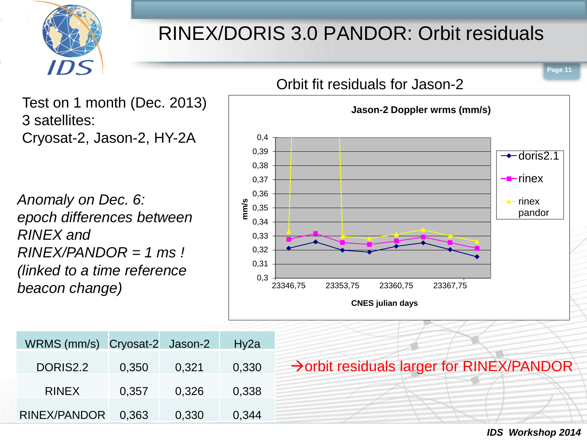

WRMS (mm/s) Cryosat-2 Jason-2 Hy2a

RINEX/PANDOR 0,363 0,330 0,344

DORIS2.2 0,350 0,321 0,330

RINEX 0,357 0,326 0,338

## RINEX/DORIS 3.0 PANDOR: Orbit residuals



*IDS Workshop 2014*

 $\rightarrow$  orbit residuals larger for RINEX/PANDOR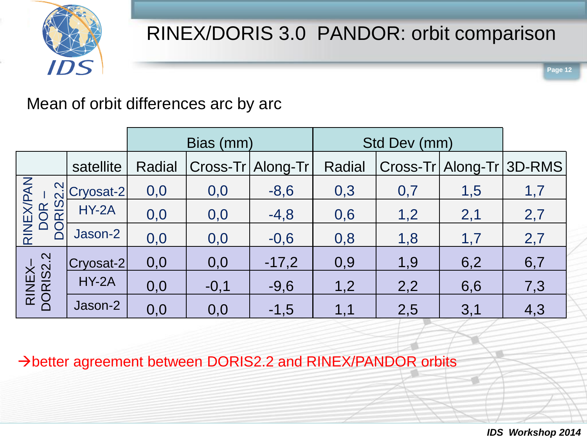

**Page 12**

#### Mean of orbit differences arc by arc

|                                | Bias (mm)    |        |        | Std Dev (mm)      |        |     |                          |     |
|--------------------------------|--------------|--------|--------|-------------------|--------|-----|--------------------------|-----|
|                                | satellite    | Radial |        | Cross-Tr Along-Tr | Radial |     | Cross-Tr Along-Tr 3D-RMS |     |
| RINEX/PAN<br>DOR –<br>DORIS2.2 | Cryosat-2    | 0,0    | 0,0    | $-8,6$            | 0,3    | 0,7 | 1,5                      | 1,7 |
|                                | <b>HY-2A</b> | 0,0    | 0,0    | $-4,8$            | 0,6    | 1,2 | 2,1                      | 2,7 |
|                                | Jason-2      | 0,0    | 0,0    | $-0,6$            | 0,8    | 1,8 | 1,7                      | 2,7 |
| RINEX-<br>DORIS2.2             | Cryosat-2    | 0,0    | 0,0    | $-17,2$           | 0,9    | 1,9 | 6,2                      | 6,7 |
|                                | $HY-2A$      | 0,0    | $-0,1$ | $-9,6$            | 1,2    | 2,2 | 6,6                      | 7,3 |
|                                | Jason-2      | 0,0    | 0,0    | $-1,5$            | 1,1    | 2,5 | 3,1                      | 4,3 |

better agreement between DORIS2.2 and RINEX/PANDOR orbits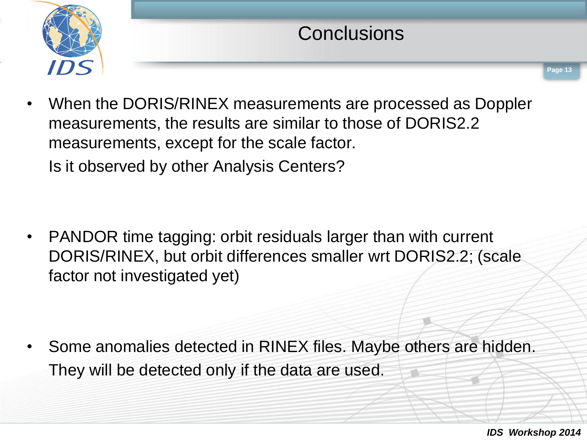

## **Conclusions**

• When the DORIS/RINEX measurements are processed as Doppler measurements, the results are similar to those of DORIS2.2 measurements, except for the scale factor. Is it observed by other Analysis Centers?

• PANDOR time tagging: orbit residuals larger than with current DORIS/RINEX, but orbit differences smaller wrt DORIS2.2; (scale factor not investigated yet)

• Some anomalies detected in RINEX files. Maybe others are hidden. They will be detected only if the data are used.

*IDS Workshop 2014*